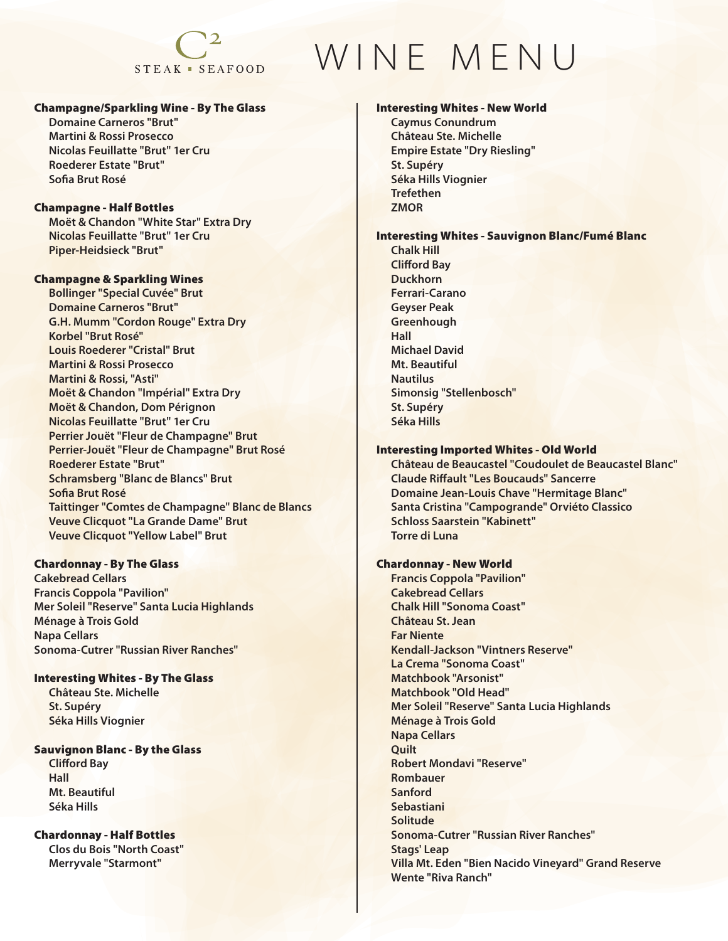## $STEAK = SEAFOOD$

## Champagne/Sparkling Wine - By The Glass

 **Domaine Carneros "Brut" Martini & Rossi Prosecco Nicolas Feuillatte "Brut" 1er Cru Roederer Estate "Brut" Sofia Brut Rosé** 

## Champagne - Half Bottles

 **Moët & Chandon "White Star" Extra Dry Nicolas Feuillatte "Brut" 1er Cru Piper-Heidsieck "Brut"**

## Champagne & Sparkling Wines

 **Bollinger "Special Cuvée" Brut Domaine Carneros "Brut" G.H. Mumm "Cordon Rouge" Extra Dry Korbel "Brut Rosé" Louis Roederer "Cristal" Brut Martini & Rossi Prosecco Martini & Rossi, "Asti" Moët & Chandon "Impérial" Extra Dry Moët & Chandon, Dom Pérignon Nicolas Feuillatte "Brut" 1er Cru Perrier Jouët "Fleur de Champagne" Brut Perrier-Jouët "Fleur de Champagne" Brut Rosé Roederer Estate "Brut" Schramsberg "Blanc de Blancs" Brut Sofia Brut Rosé Taittinger "Comtes de Champagne" Blanc de Blancs Veuve Clicquot "La Grande Dame" Brut Veuve Clicquot "Yellow Label" Brut** 

## Chardonnay - By The Glass

**Cakebread Cellars Francis Coppola "Pavilion" Mer Soleil "Reserve" Santa Lucia Highlands Ménage à Trois Gold Napa Cellars Sonoma-Cutrer "Russian River Ranches"**

#### Interesting Whites - By The Glass

 **Château Ste. Michelle St. Supéry Séka Hills Viognier** 

#### Sauvignon Blanc - By the Glass

 **Clifford Bay Hall Mt. Beautiful Séka Hills** 

#### Chardonnay - Half Bottles

 **Clos du Bois "North Coast" Merryvale "Starmont"**

# WINE MENU

## Interesting Whites - New World

 **Caymus Conundrum Château Ste. Michelle Empire Estate "Dry Riesling" St. Supéry Séka Hills Viognier Trefethen ZMOR** 

## Interesting Whites - Sauvignon Blanc/Fumé Blanc

 **Chalk Hill Clifford Bay Duckhorn Ferrari-Carano Geyser Peak Greenhough Hall Michael David Mt. Beautiful Nautilus Simonsig "Stellenbosch" St. Supéry Séka Hills** 

## Interesting Imported Whites - Old World

 **Château de Beaucastel "Coudoulet de Beaucastel Blanc" Claude Riffault "Les Boucauds" Sancerre Domaine Jean-Louis Chave "Hermitage Blanc" Santa Cristina "Campogrande" Orviéto Classico Schloss Saarstein "Kabinett" Torre di Luna** 

## Chardonnay - New World

 **Francis Coppola "Pavilion" Cakebread Cellars Chalk Hill "Sonoma Coast" Château St. Jean Far Niente Kendall-Jackson "Vintners Reserve" La Crema "Sonoma Coast" Matchbook "Arsonist" Matchbook "Old Head" Mer Soleil "Reserve" Santa Lucia Highlands Ménage à Trois Gold Napa Cellars Quilt Robert Mondavi "Reserve" Rombauer Sanford Sebastiani Solitude Sonoma-Cutrer "Russian River Ranches" Stags' Leap Villa Mt. Eden "Bien Nacido Vineyard" Grand Reserve Wente "Riva Ranch"**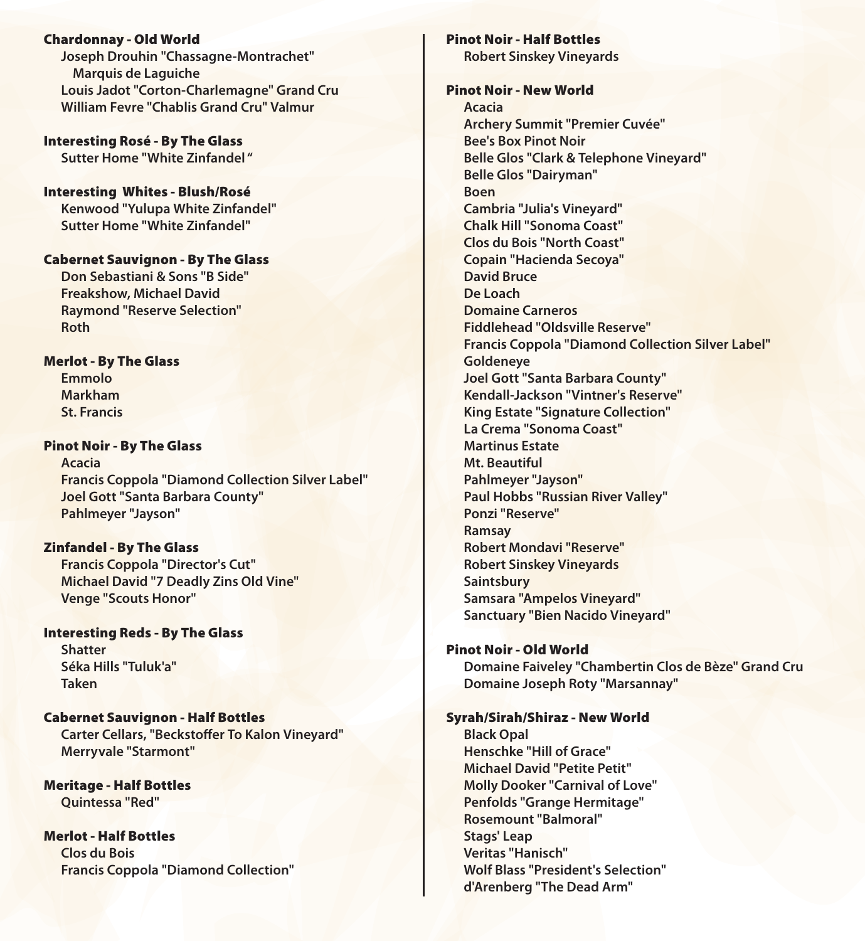Chardonnay - Old World  **Joseph Drouhin "Chassagne-Montrachet" Marquis de Laguiche Louis Jadot "Corton-Charlemagne" Grand Cru William Fevre "Chablis Grand Cru" Valmur** 

Interesting Rosé - By The Glass  **Sutter Home "White Zinfandel "**

Interesting Whites - Blush/Rosé  **Kenwood "Yulupa White Zinfandel" Sutter Home "White Zinfandel"** 

#### Cabernet Sauvignon - By The Glass

 **Don Sebastiani & Sons "B Side" Freakshow, Michael David Raymond "Reserve Selection" Roth** 

#### Merlot - By The Glass

 **Emmolo Markham St. Francis** 

Pinot Noir - By The Glass

 **Acacia Francis Coppola "Diamond Collection Silver Label" Joel Gott "Santa Barbara County" Pahlmeyer "Jayson"** 

#### Zinfandel - By The Glass

 **Francis Coppola "Director's Cut" Michael David "7 Deadly Zins Old Vine" Venge "Scouts Honor"**

## Interesting Reds - By The Glass

 **Shatter Séka Hills "Tuluk'a" Taken** 

Cabernet Sauvignon - Half Bottles  **Carter Cellars, "Beckstoffer To Kalon Vineyard" Merryvale "Starmont"** 

Meritage - Half Bottles  **Quintessa "Red"** 

## Merlot - Half Bottles

 **Clos du Bois Francis Coppola "Diamond Collection"** 

#### Pinot Noir - Half Bottles

 **Robert Sinskey Vineyards**

#### Pinot Noir - New World

 **Acacia Archery Summit "Premier Cuvée" Bee's Box Pinot Noir Belle Glos "Clark & Telephone Vineyard" Belle Glos "Dairyman" Boen Cambria "Julia's Vineyard" Chalk Hill "Sonoma Coast" Clos du Bois "North Coast" Copain "Hacienda Secoya" David Bruce De Loach Domaine Carneros Fiddlehead "Oldsville Reserve" Francis Coppola "Diamond Collection Silver Label" Goldeneye Joel Gott "Santa Barbara County" Kendall-Jackson "Vintner's Reserve" King Estate "Signature Collection" La Crema "Sonoma Coast" Martinus Estate Mt. Beautiful Pahlmeyer "Jayson" Paul Hobbs "Russian River Valley" Ponzi "Reserve" Ramsay Robert Mondavi "Reserve" Robert Sinskey Vineyards Saintsbury Samsara "Ampelos Vineyard" Sanctuary "Bien Nacido Vineyard"** 

#### Pinot Noir - Old World

 **Domaine Faiveley "Chambertin Clos de Bèze" Grand Cru Domaine Joseph Roty "Marsannay"** 

#### Syrah/Sirah/Shiraz - New World

 **Black Opal Henschke "Hill of Grace" Michael David "Petite Petit" Molly Dooker "Carnival of Love" Penfolds "Grange Hermitage" Rosemount "Balmoral" Stags' Leap Veritas "Hanisch" Wolf Blass "President's Selection" d'Arenberg "The Dead Arm"**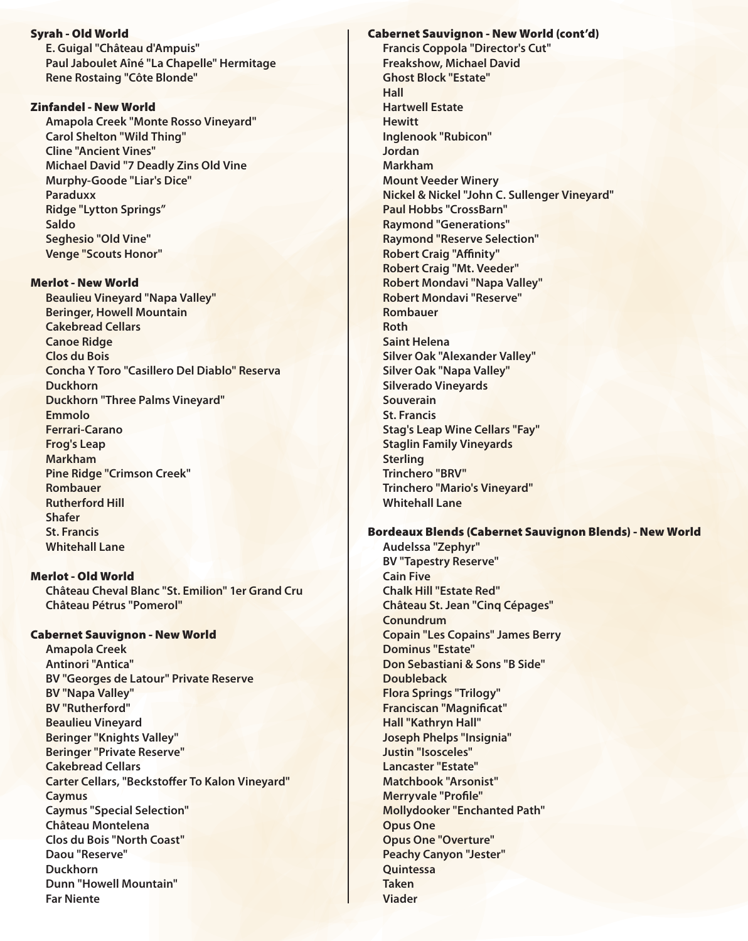Syrah - Old World  **E. Guigal "Château d'Ampuis" Paul Jaboulet Aîné "La Chapelle" Hermitage Rene Rostaing "Côte Blonde"** 

#### Zinfandel - New World

 **Amapola Creek "Monte Rosso Vineyard" Carol Shelton "Wild Thing" Cline "Ancient Vines" Michael David "7 Deadly Zins Old Vine Murphy-Goode "Liar's Dice" Paraduxx Ridge "Lytton Springs" Saldo Seghesio "Old Vine" Venge "Scouts Honor"** 

#### Merlot - New World

 **Beaulieu Vineyard "Napa Valley" Beringer, Howell Mountain Cakebread Cellars Canoe Ridge Clos du Bois Concha Y Toro "Casillero Del Diablo" Reserva Duckhorn Duckhorn "Three Palms Vineyard" Emmolo Ferrari-Carano Frog's Leap Markham Pine Ridge "Crimson Creek" Rombauer Rutherford Hill Shafer St. Francis Whitehall Lane**

## Merlot - Old World

 **Château Cheval Blanc "St. Emilion" 1er Grand Cru Château Pétrus "Pomerol"** 

#### Cabernet Sauvignon - New World

 **Amapola Creek Antinori "Antica" BV "Georges de Latour" Private Reserve BV "Napa Valley" BV "Rutherford" Beaulieu Vineyard Beringer "Knights Valley" Beringer "Private Reserve" Cakebread Cellars Carter Cellars, "Beckstoffer To Kalon Vineyard" Caymus Caymus "Special Selection" Château Montelena Clos du Bois "North Coast" Daou "Reserve" Duckhorn Dunn "Howell Mountain" Far Niente** 

Cabernet Sauvignon - New World (cont'd)  **Francis Coppola "Director's Cut" Freakshow, Michael David Ghost Block "Estate" Hall Hartwell Estate Hewitt Inglenook "Rubicon" Jordan Markham Mount Veeder Winery Nickel & Nickel "John C. Sullenger Vineyard" Paul Hobbs "CrossBarn" Raymond "Generations" Raymond "Reserve Selection" Robert Craig "Affinity" Robert Craig "Mt. Veeder" Robert Mondavi "Napa Valley" Robert Mondavi "Reserve" Rombauer Roth Saint Helena Silver Oak "Alexander Valley" Silver Oak "Napa Valley" Silverado Vineyards Souverain St. Francis Stag's Leap Wine Cellars "Fay" Staglin Family Vineyards Sterling Trinchero "BRV" Trinchero "Mario's Vineyard" Whitehall Lane** 

### Bordeaux Blends (Cabernet Sauvignon Blends) - New World

 **Audelssa "Zephyr" BV "Tapestry Reserve" Cain Five Chalk Hill "Estate Red" Château St. Jean "Cinq Cépages" Conundrum Copain "Les Copains" James Berry Dominus "Estate" Don Sebastiani & Sons "B Side" Doubleback Flora Springs "Trilogy" Franciscan "Magnificat" Hall "Kathryn Hall" Joseph Phelps "Insignia" Justin "Isosceles" Lancaster "Estate" Matchbook "Arsonist" Merryvale "Profile" Mollydooker "Enchanted Path" Opus One Opus One "Overture" Peachy Canyon "Jester" Quintessa Taken Viader**